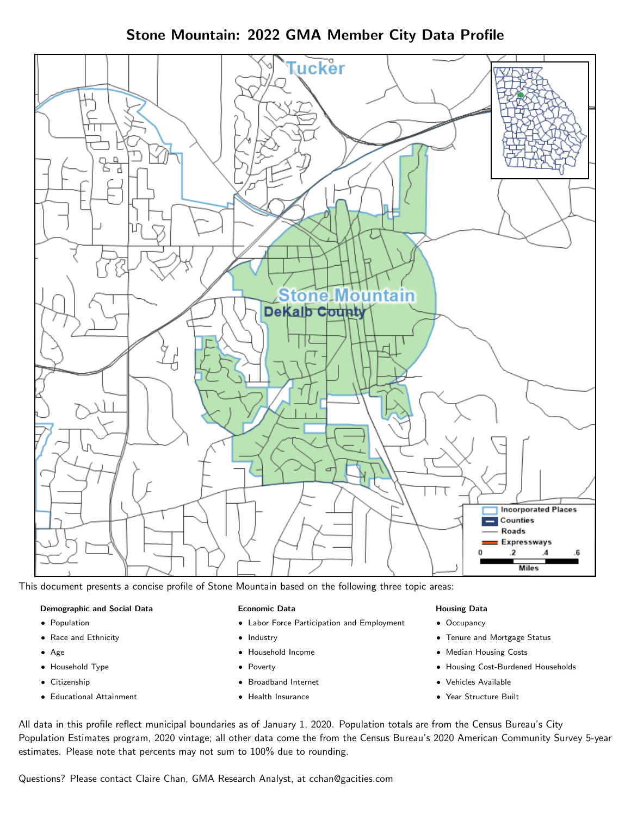Stone Mountain: 2022 GMA Member City Data Profile



This document presents a concise profile of Stone Mountain based on the following three topic areas:

#### Demographic and Social Data

- **•** Population
- Race and Ethnicity
- Age
- Household Type
- **Citizenship**
- Educational Attainment

#### Economic Data

- Labor Force Participation and Employment
- Industry
- Household Income
- Poverty
- Broadband Internet
- Health Insurance

#### Housing Data

- Occupancy
- Tenure and Mortgage Status
- Median Housing Costs
- Housing Cost-Burdened Households
- Vehicles Available
- Year Structure Built

All data in this profile reflect municipal boundaries as of January 1, 2020. Population totals are from the Census Bureau's City Population Estimates program, 2020 vintage; all other data come the from the Census Bureau's 2020 American Community Survey 5-year estimates. Please note that percents may not sum to 100% due to rounding.

Questions? Please contact Claire Chan, GMA Research Analyst, at [cchan@gacities.com.](mailto:cchan@gacities.com)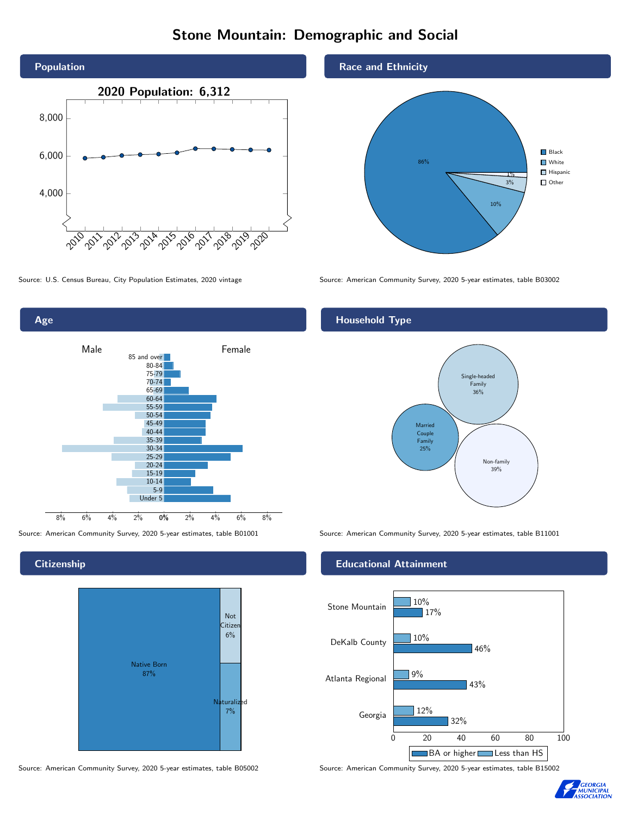# Stone Mountain: Demographic and Social





**Citizenship** 



Source: American Community Survey, 2020 5-year estimates, table B05002 Source: American Community Survey, 2020 5-year estimates, table B15002



Source: U.S. Census Bureau, City Population Estimates, 2020 vintage Source: American Community Survey, 2020 5-year estimates, table B03002

### Household Type



Source: American Community Survey, 2020 5-year estimates, table B01001 Source: American Community Survey, 2020 5-year estimates, table B11001

#### Educational Attainment



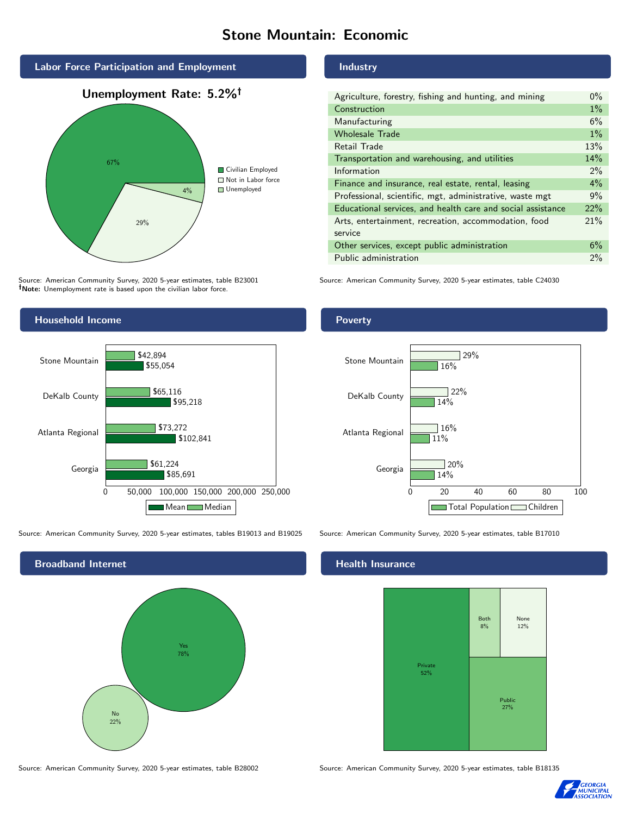# Stone Mountain: Economic



Source: American Community Survey, 2020 5-year estimates, table B23001 Note: Unemployment rate is based upon the civilian labor force.

## Household Income 0 50,000 100,000 150,000 200,000 250,000 Georgia Atlanta Regional DeKalb County Stone Mountain \$85,691 \$102,841 \$95,218 \$55,054 \$61,224 \$73,272 \$65,116 \$42,894 Mean Median

Source: American Community Survey, 2020 5-year estimates, tables B19013 and B19025 Source: American Community Survey, 2020 5-year estimates, table B17010



#### Industry

| Agriculture, forestry, fishing and hunting, and mining      | $0\%$ |
|-------------------------------------------------------------|-------|
| Construction                                                | $1\%$ |
| Manufacturing                                               | 6%    |
| <b>Wholesale Trade</b>                                      | $1\%$ |
| <b>Retail Trade</b>                                         | 13%   |
| Transportation and warehousing, and utilities               | 14%   |
| Information                                                 | $2\%$ |
| Finance and insurance, real estate, rental, leasing         | 4%    |
| Professional, scientific, mgt, administrative, waste mgt    | 9%    |
| Educational services, and health care and social assistance | 22%   |
| Arts, entertainment, recreation, accommodation, food        | 21%   |
| service                                                     |       |
| Other services, except public administration                | 6%    |
| Public administration                                       | $2\%$ |

Source: American Community Survey, 2020 5-year estimates, table C24030

## Poverty



### Health Insurance



Source: American Community Survey, 2020 5-year estimates, table B28002 Source: American Community Survey, 2020 5-year estimates, table B18135